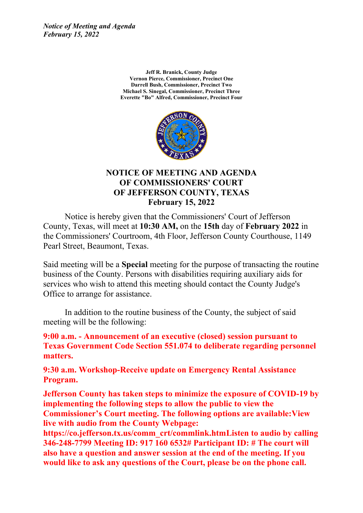*Notice of Meeting and Agenda February 15, 2022*

> **Jeff R. Branick, County Judge Vernon Pierce, Commissioner, Precinct One Darrell Bush, Commissioner, Precinct Two Michael S. Sinegal, Commissioner, Precinct Three Everette "Bo" Alfred, Commissioner, Precinct Four**



### **NOTICE OF MEETING AND AGENDA OF COMMISSIONERS' COURT OF JEFFERSON COUNTY, TEXAS February 15, 2022**

Notice is hereby given that the Commissioners' Court of Jefferson County, Texas, will meet at **10:30 AM,** on the **15th** day of **February 2022** in the Commissioners' Courtroom, 4th Floor, Jefferson County Courthouse, 1149 Pearl Street, Beaumont, Texas.

Said meeting will be <sup>a</sup> **Special** meeting for the purpose of transacting the routine business of the County. Persons with disabilities requiring auxiliary aids for services who wish to attend this meeting should contact the County Judge's Office to arrange for assistance.

In addition to the routine business of the County, the subject of said meeting will be the following:

**9:00 a.m. - Announcement of an executive (closed) session pursuant to Texas Government Code Section 551.074 to deliberate regarding personnel matters.** 

**9:30 a.m. Workshop-Receive update on Emergency Rental Assistance Program.**

**Jefferson County has taken steps to minimize the exposure of COVID-19 by implementing the following steps to allow the public to view the Commissioner's Court meeting. The following options are available:View live with audio from the County Webpage:**

**https://co.jefferson.tx.us/comm\_crt/commlink.htmListen to audio by calling 346-248-7799 Meeting ID: 917 160 6532# Participant ID: # The court will also have <sup>a</sup> question and answer session at the end of the meeting. If you would like to ask any questions of the Court, please be on the phone call.**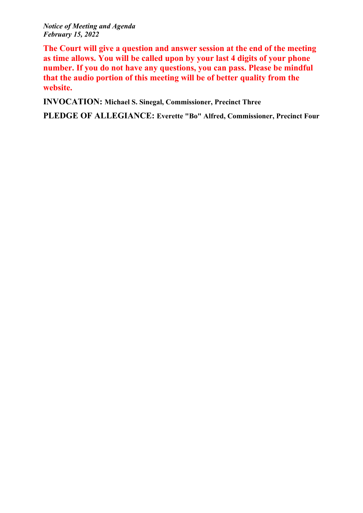*Notice of Meeting and Agenda February 15, 2022*

**The Court will give <sup>a</sup> question and answer session at the end of the meeting as time allows. You will be called upon by your last 4 digits of your phone number. If you do not have any questions, you can pass. Please be mindful that the audio portion of this meeting will be of better quality from the website.**

**INVOCATION: Michael S. Sinegal, Commissioner, Precinct Three**

**PLEDGE OF ALLEGIANCE: Everette "Bo" Alfred, Commissioner, Precinct Four**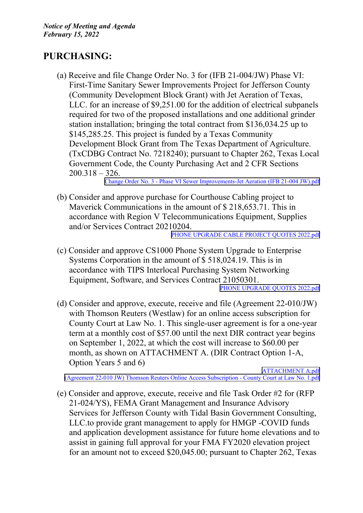# **PURCHASING:**

(a) Receive and file Change Order No. 3 for (IFB 21-004/JW) Phase VI: First-Time Sanitary Sewer Improvements Project for Jefferson County (Community Development Block Grant) with Jet Aeration of Texas, LLC. for an increase of \$9,251.00 for the addition of electrical subpanels required for two of the proposed installations and one additional grinder station installation; bringing the total contract from \$136,034.25 up to \$145,285.25. This project is funded by <sup>a</sup> Texas Community Development Block Grant from The Texas Department of Agriculture. (TxCDBG Contract No. 7218240); pursuan<sup>t</sup> to Chapter 262, Texas Local Government Code, the County Purchasing Act and 2 CFR Sections 200.318 – 326.

Change Order No. 3 - Phase VI Sewer [Improvements-Jet](http://co.jefferson.tx.us/agenda/agendas_pl/20220215_678/Attachments/Change Order No. 3 - Phase VI Sewer Improvements-Jet Aeration (IFB 21-004 JW).pdf) Aeration (IFB 21-004 JW).pdf

(b) Consider and approve purchase for Courthouse Cabling project to Maverick Communications in the amount of \$ 218,653.71. This in accordance with Region V Telecommunications Equipment, Supplies and/or Services Contract 20210204.

PHONE UPGRADE CABLE PROJECT [QUOTES](http://co.jefferson.tx.us/agenda/agendas_pl/20220215_678/Attachments/PHONE UPGRADE  CABLE PROJECT QUOTES 2022.pdf) 2022.pdf

(c) Consider and approve CS1000 Phone System Upgrade to Enterprise Systems Corporation in the amount of \$ 518,024.19. This is in accordance with TIPS Interlocal Purchasing System Networking Equipment, Software, and Services Contract 21050301.

PHONE UPGRADE [QUOTES](http://co.jefferson.tx.us/agenda/agendas_pl/20220215_678/Attachments/PHONE UPGRADE QUOTES 2022.pdf) 2022.pdf

(d) Consider and approve, execute, receive and file (Agreement 22-010/JW) with Thomson Reuters (Westlaw) for an online access subscription for County Court at Law No. 1. This single-user agreemen<sup>t</sup> is for <sup>a</sup> one-year term at <sup>a</sup> monthly cost of \$57.00 until the next DIR contract year begins on September 1, 2022, at which the cost will increase to \$60.00 per month, as shown on ATTACHMENT A. (DIR Contract Option 1-A, Option Years 5 and 6)

[ATTACHMENT](http://co.jefferson.tx.us/agenda/agendas_pl/20220215_678/Attachments/ATTACHMENT A.pdf) A.pdf (Agreement 22-010 JW) Thomson Reuters Online Access [Subscription](http://co.jefferson.tx.us/agenda/agendas_pl/20220215_678/Attachments/(Agreement 22-010 JW) Thomson Reuters Online Access Subscription - County Court at Law No. 1.pdf) - County Court at Law No. 1.pdf

(e) Consider and approve, execute, receive and file Task Order #2 for (RFP 21-024/YS), FEMA Grant Management and Insurance Advisory Services for Jefferson County with Tidal Basin Government Consulting, LLC.to provide gran<sup>t</sup> managemen<sup>t</sup> to apply for HMGP -COVID funds and application development assistance for future home elevations and to assist in gaining full approval for your FMA FY2020 elevation project for an amount not to exceed \$20,045.00; pursuan<sup>t</sup> to Chapter 262, Texas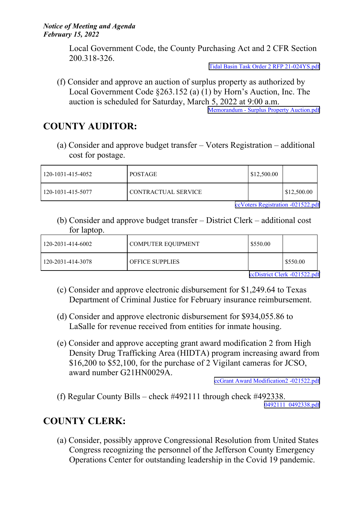Local Government Code, the County Purchasing Act and 2 CFR Section 200.318-326.

Tidal Basin Task Order 2 RFP [21-024YS.pdf](http://co.jefferson.tx.us/agenda/agendas_pl/20220215_678/Attachments/Tidal Basin Task Order 2 RFP 21-024YS.pdf)

(f) Consider and approve an auction of surplus property as authorized by Local Government Code §263.152 (a) (1) by Horn's Auction, Inc. The auction is scheduled for Saturday, March 5, 2022 at 9:00 a.m. Memorandum - Surplus Property [Auction.pdf](http://co.jefferson.tx.us/agenda/agendas_pl/20220215_678/Attachments/Memorandum - Surplus Property Auction.pdf)

## **COUNTY AUDITOR:**

(a) Consider and approve budget transfer – Voters Registration – additional cost for postage.

| 120-1031-415-4052 | <b>POSTAGE</b>      | $\frac{1}{2}$ \$12,500.00 |                    |
|-------------------|---------------------|---------------------------|--------------------|
| 120-1031-415-5077 | CONTRACTUAL SERVICE |                           | $\mid$ \$12,500.00 |

ccVoters [Registration](http://co.jefferson.tx.us/agenda/agendas_pl/20220215_678/Attachments/ccVoters Registration -021522.pdf) -021522.pdf

(b) Consider and approve budget transfer – District Clerk – additional cost for laptop.

| 120-2031-414-6002 | COMPUTER EQUIPMENT | 5550.00 |            |
|-------------------|--------------------|---------|------------|
| 120-2031-414-3078 | l OFFICE SUPPLIES  |         | 1 \$550.00 |

ccDistrict Clerk [-021522.pdf](http://co.jefferson.tx.us/agenda/agendas_pl/20220215_678/Attachments/ccDistrict Clerk -021522.pdf)

- (c) Consider and approve electronic disbursement for \$1,249.64 to Texas Department of Criminal Justice for February insurance reimbursement.
- (d) Consider and approve electronic disbursement for \$934,055.86 to LaSalle for revenue received from entities for inmate housing.
- (e) Consider and approve accepting gran<sup>t</sup> award modification 2 from High Density Drug Trafficking Area (HIDTA) program increasing award from \$16,200 to \$52,100, for the purchase of 2 Vigilant cameras for JCSO, award number G21HN0029A.

ccGrant Award Modification2 [-021522.pdf](http://co.jefferson.tx.us/agenda/agendas_pl/20220215_678/Attachments/ccGrant Award Modification2 -021522.pdf)

(f) Regular County Bills – check #492111 through check #492338. [0492111\\_0492338.pdf](http://co.jefferson.tx.us/agenda/agendas_pl/20220215_678/Attachments/0492111_0492338.pdf)

# **COUNTY CLERK:**

(a) Consider, possibly approve Congressional Resolution from United States Congress recognizing the personnel of the Jefferson County Emergency Operations Center for outstanding leadership in the Covid 19 pandemic.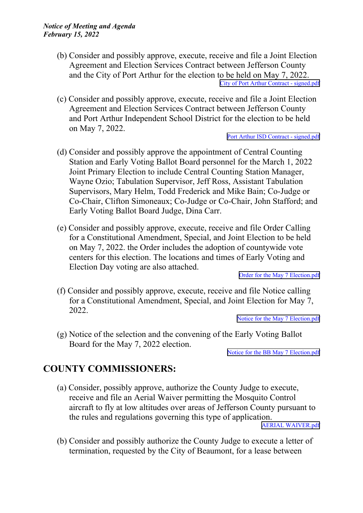- (b) Consider and possibly approve, execute, receive and file <sup>a</sup> Joint Election Agreement and Election Services Contract between Jefferson County and the City of Port Arthur for the election to be held on May 7, 2022. City of Port Arthur Contract - [signed.pdf](http://co.jefferson.tx.us/agenda/agendas_pl/20220215_678/Attachments/City of Port Arthur Contract - signed.pdf)
- (c) Consider and possibly approve, execute, receive and file <sup>a</sup> Joint Election Agreement and Election Services Contract between Jefferson County and Port Arthur Independent School District for the election to be held on May 7, 2022.

Port Arthur ISD Contract - [signed.pdf](http://co.jefferson.tx.us/agenda/agendas_pl/20220215_678/Attachments/Port Arthur ISD Contract - signed.pdf)

- (d) Consider and possibly approve the appointment of Central Counting Station and Early Voting Ballot Board personnel for the March 1, 2022 Joint Primary Election to include Central Counting Station Manager, Wayne Ozio; Tabulation Supervisor, Jeff Ross, Assistant Tabulation Supervisors, Mary Helm, Todd Frederick and Mike Bain; Co-Judge or Co-Chair, Clifton Simoneaux; Co-Judge or Co-Chair, John Stafford; and Early Voting Ballot Board Judge, Dina Carr.
- (e) Consider and possibly approve, execute, receive and file Order Calling for <sup>a</sup> Constitutional Amendment, Special, and Joint Election to be held on May 7, 2022. the Order includes the adoption of countywide vote centers for this election. The locations and times of Early Voting and Election Day voting are also attached.

Order for the May 7 [Election.pdf](http://co.jefferson.tx.us/agenda/agendas_pl/20220215_678/Attachments/Order for the May 7 Election.pdf)

(f) Consider and possibly approve, execute, receive and file Notice calling for <sup>a</sup> Constitutional Amendment, Special, and Joint Election for May 7, 2022.

Notice for the May 7 [Election.pdf](http://co.jefferson.tx.us/agenda/agendas_pl/20220215_678/Attachments/Notice for the May 7 Election.pdf)

(g) Notice of the selection and the convening of the Early Voting Ballot Board for the May 7, 2022 election.

Notice for the BB May 7 [Election.pdf](http://co.jefferson.tx.us/agenda/agendas_pl/20220215_678/Attachments/Notice for the BB May 7 Election.pdf)

### **COUNTY COMMISSIONERS:**

- (a) Consider, possibly approve, authorize the County Judge to execute, receive and file an Aerial Waiver permitting the Mosquito Control aircraft to fly at low altitudes over areas of Jefferson County pursuan<sup>t</sup> to the rules and regulations governing this type of application. AERIAL [WAIVER.pdf](http://co.jefferson.tx.us/agenda/agendas_pl/20220215_678/Attachments/AERIAL WAIVER.pdf)
- (b) Consider and possibly authorize the County Judge to execute <sup>a</sup> letter of termination, requested by the City of Beaumont, for <sup>a</sup> lease between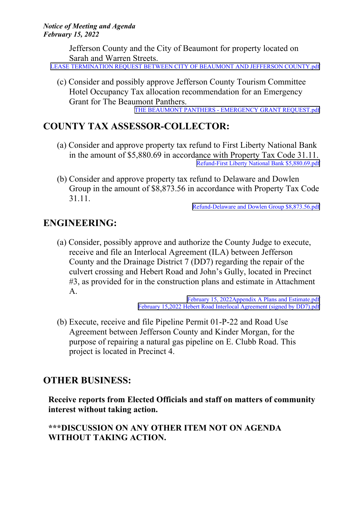Jefferson County and the City of Beaumont for property located on Sarah and Warren Streets.

LEASE TERMINATION REQUEST BETWEEN CITY OF BEAUMONT AND JEFFERSON [COUNTY.pdf](http://co.jefferson.tx.us/agenda/agendas_pl/20220215_678/Attachments/LEASE TERMINATION REQUEST BETWEEN CITY OF BEAUMONT AND JEFFERSON COUNTY.pdf)

(c) Consider and possibly approve Jefferson County Tourism Committee Hotel Occupancy Tax allocation recommendation for an Emergency Grant for The Beaumont Panthers. THE BEAUMONT PANTHERS - EMERGENCY GRANT [REQUEST.pdf](http://co.jefferson.tx.us/agenda/agendas_pl/20220215_678/Attachments/THE BEAUMONT PANTHERS - EMERGENCY GRANT REQUEST.pdf)

# **COUNTY TAX ASSESSOR-COLLECTOR:**

- (a) Consider and approve property tax refund to First Liberty National Bank in the amount of \$5,880.69 in accordance with Property Tax Code 31.11. Refund-First Liberty National Bank [\\$5,880.69.pdf](http://co.jefferson.tx.us/agenda/agendas_pl/20220215_678/Attachments/Refund-First Liberty National Bank $5,880.69.pdf)
- (b) Consider and approve property tax refund to Delaware and Dowlen Group in the amount of \$8,873.56 in accordance with Property Tax Code 31.11.

Refund-Delaware and Dowlen Group [\\$8,873.56.pdf](http://co.jefferson.tx.us/agenda/agendas_pl/20220215_678/Attachments/Refund-Delaware and Dowlen Group $8,873.56.pdf)

# **ENGINEERING:**

(a) Consider, possibly approve and authorize the County Judge to execute, receive and file an Interlocal Agreement (ILA) between Jefferson County and the Drainage District 7 (DD7) regarding the repair of the culvert crossing and Hebert Road and John's Gully, located in Precinct #3, as provided for in the construction plans and estimate in Attachment A.

February 15, [2022Appendix](http://co.jefferson.tx.us/agenda/agendas_pl/20220215_678/Attachments/February 15, 2022Appendix A Plans and Estimate.pdf) A Plans and Estimate.pdf February 15,2022 Hebert Road Interlocal [Agreement](http://co.jefferson.tx.us/agenda/agendas_pl/20220215_678/Attachments/February 15,2022 Hebert Road Interlocal Agreement (signed by DD7).pdf) (signed by DD7).pdf

(b) Execute, receive and file Pipeline Permit 01-P-22 and Road Use Agreement between Jefferson County and Kinder Morgan, for the purpose of repairing <sup>a</sup> natural gas pipeline on E. Clubb Road. This project is located in Precinct 4.

# **OTHER BUSINESS:**

**Receive reports from Elected Officials and staff on matters of community interest without taking action.**

### **\*\*\*DISCUSSION ON ANY OTHER ITEM NOT ON AGENDA WITHOUT TAKING ACTION.**